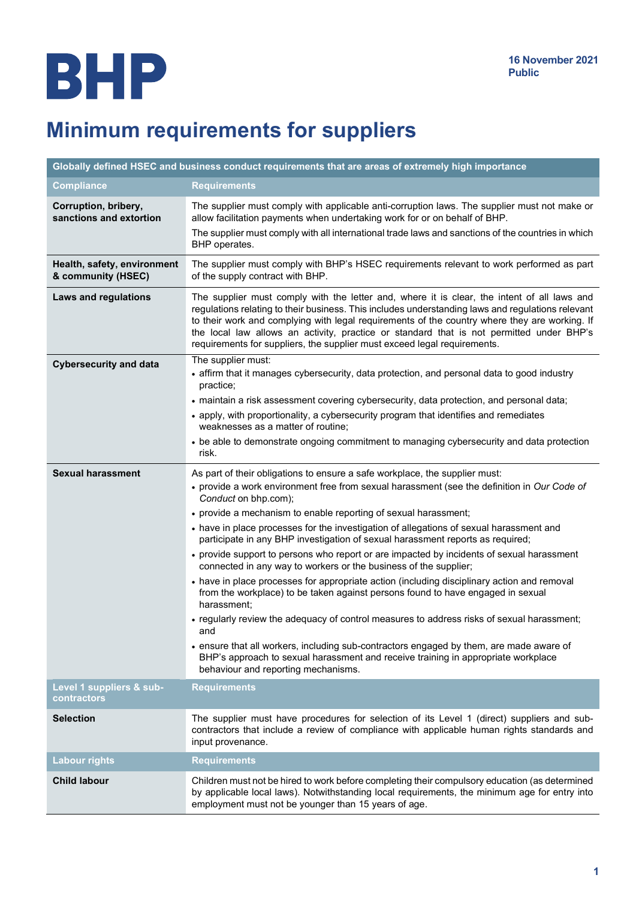# Minimum requirements for suppliers

| Globally defined HSEC and business conduct requirements that are areas of extremely high importance |                                                                                                                                                                                                                                                                                                                                                                                                                                                                           |
|-----------------------------------------------------------------------------------------------------|---------------------------------------------------------------------------------------------------------------------------------------------------------------------------------------------------------------------------------------------------------------------------------------------------------------------------------------------------------------------------------------------------------------------------------------------------------------------------|
| <b>Compliance</b>                                                                                   | <b>Requirements</b>                                                                                                                                                                                                                                                                                                                                                                                                                                                       |
| Corruption, bribery,<br>sanctions and extortion                                                     | The supplier must comply with applicable anti-corruption laws. The supplier must not make or<br>allow facilitation payments when undertaking work for or on behalf of BHP.                                                                                                                                                                                                                                                                                                |
|                                                                                                     | The supplier must comply with all international trade laws and sanctions of the countries in which<br>BHP operates.                                                                                                                                                                                                                                                                                                                                                       |
| Health, safety, environment<br>& community (HSEC)                                                   | The supplier must comply with BHP's HSEC requirements relevant to work performed as part<br>of the supply contract with BHP.                                                                                                                                                                                                                                                                                                                                              |
| <b>Laws and regulations</b>                                                                         | The supplier must comply with the letter and, where it is clear, the intent of all laws and<br>regulations relating to their business. This includes understanding laws and regulations relevant<br>to their work and complying with legal requirements of the country where they are working. If<br>the local law allows an activity, practice or standard that is not permitted under BHP's<br>requirements for suppliers, the supplier must exceed legal requirements. |
| <b>Cybersecurity and data</b>                                                                       | The supplier must:<br>• affirm that it manages cybersecurity, data protection, and personal data to good industry<br>practice;                                                                                                                                                                                                                                                                                                                                            |
|                                                                                                     | • maintain a risk assessment covering cybersecurity, data protection, and personal data;                                                                                                                                                                                                                                                                                                                                                                                  |
|                                                                                                     | • apply, with proportionality, a cybersecurity program that identifies and remediates<br>weaknesses as a matter of routine:                                                                                                                                                                                                                                                                                                                                               |
|                                                                                                     | • be able to demonstrate ongoing commitment to managing cybersecurity and data protection<br>risk.                                                                                                                                                                                                                                                                                                                                                                        |
| <b>Sexual harassment</b>                                                                            | As part of their obligations to ensure a safe workplace, the supplier must:                                                                                                                                                                                                                                                                                                                                                                                               |
|                                                                                                     | • provide a work environment free from sexual harassment (see the definition in Our Code of<br>Conduct on bhp.com);                                                                                                                                                                                                                                                                                                                                                       |
|                                                                                                     | • provide a mechanism to enable reporting of sexual harassment;                                                                                                                                                                                                                                                                                                                                                                                                           |
|                                                                                                     | • have in place processes for the investigation of allegations of sexual harassment and<br>participate in any BHP investigation of sexual harassment reports as required;                                                                                                                                                                                                                                                                                                 |
|                                                                                                     | • provide support to persons who report or are impacted by incidents of sexual harassment<br>connected in any way to workers or the business of the supplier;                                                                                                                                                                                                                                                                                                             |
|                                                                                                     | • have in place processes for appropriate action (including disciplinary action and removal<br>from the workplace) to be taken against persons found to have engaged in sexual<br>harassment;                                                                                                                                                                                                                                                                             |
|                                                                                                     | • regularly review the adequacy of control measures to address risks of sexual harassment;<br>and                                                                                                                                                                                                                                                                                                                                                                         |
|                                                                                                     | • ensure that all workers, including sub-contractors engaged by them, are made aware of<br>BHP's approach to sexual harassment and receive training in appropriate workplace<br>behaviour and reporting mechanisms.                                                                                                                                                                                                                                                       |
| Level 1 suppliers & sub-<br>contractors                                                             | <b>Requirements</b>                                                                                                                                                                                                                                                                                                                                                                                                                                                       |
| <b>Selection</b>                                                                                    | The supplier must have procedures for selection of its Level 1 (direct) suppliers and sub-<br>contractors that include a review of compliance with applicable human rights standards and<br>input provenance.                                                                                                                                                                                                                                                             |
| <b>Labour rights</b>                                                                                | <b>Requirements</b>                                                                                                                                                                                                                                                                                                                                                                                                                                                       |
| <b>Child labour</b>                                                                                 | Children must not be hired to work before completing their compulsory education (as determined<br>by applicable local laws). Notwithstanding local requirements, the minimum age for entry into<br>employment must not be younger than 15 years of age.                                                                                                                                                                                                                   |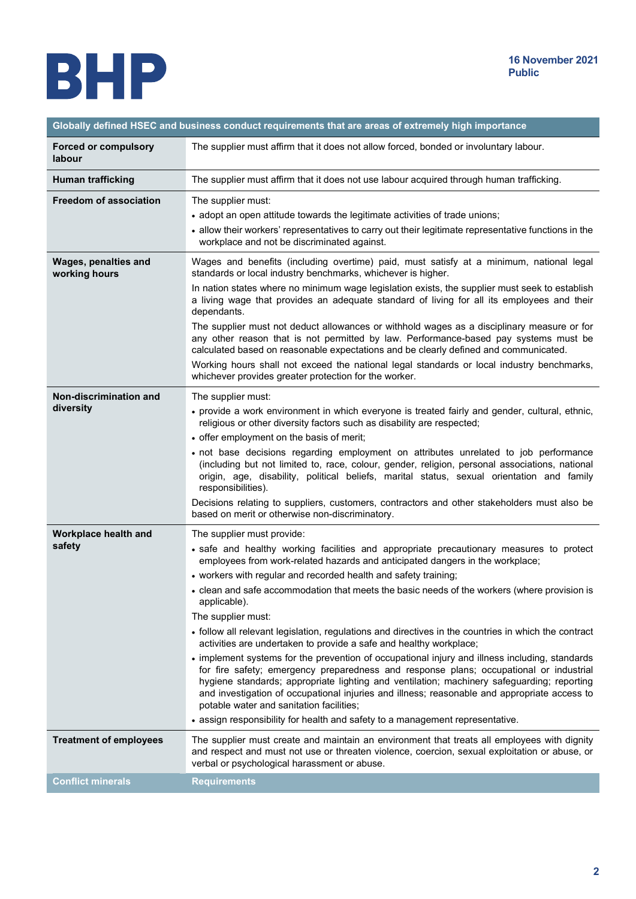

| Globally defined HSEC and business conduct requirements that are areas of extremely high importance |                                                                                                                                                                                                                                                                                                                                                                                                                                    |
|-----------------------------------------------------------------------------------------------------|------------------------------------------------------------------------------------------------------------------------------------------------------------------------------------------------------------------------------------------------------------------------------------------------------------------------------------------------------------------------------------------------------------------------------------|
| <b>Forced or compulsory</b><br>labour                                                               | The supplier must affirm that it does not allow forced, bonded or involuntary labour.                                                                                                                                                                                                                                                                                                                                              |
| <b>Human trafficking</b>                                                                            | The supplier must affirm that it does not use labour acquired through human trafficking.                                                                                                                                                                                                                                                                                                                                           |
| <b>Freedom of association</b>                                                                       | The supplier must:                                                                                                                                                                                                                                                                                                                                                                                                                 |
|                                                                                                     | • adopt an open attitude towards the legitimate activities of trade unions;                                                                                                                                                                                                                                                                                                                                                        |
|                                                                                                     | • allow their workers' representatives to carry out their legitimate representative functions in the<br>workplace and not be discriminated against.                                                                                                                                                                                                                                                                                |
| Wages, penalties and<br>working hours                                                               | Wages and benefits (including overtime) paid, must satisfy at a minimum, national legal<br>standards or local industry benchmarks, whichever is higher.                                                                                                                                                                                                                                                                            |
|                                                                                                     | In nation states where no minimum wage legislation exists, the supplier must seek to establish<br>a living wage that provides an adequate standard of living for all its employees and their<br>dependants.                                                                                                                                                                                                                        |
|                                                                                                     | The supplier must not deduct allowances or withhold wages as a disciplinary measure or for<br>any other reason that is not permitted by law. Performance-based pay systems must be<br>calculated based on reasonable expectations and be clearly defined and communicated.                                                                                                                                                         |
|                                                                                                     | Working hours shall not exceed the national legal standards or local industry benchmarks,<br>whichever provides greater protection for the worker.                                                                                                                                                                                                                                                                                 |
| Non-discrimination and                                                                              | The supplier must:                                                                                                                                                                                                                                                                                                                                                                                                                 |
| diversity                                                                                           | • provide a work environment in which everyone is treated fairly and gender, cultural, ethnic,<br>religious or other diversity factors such as disability are respected;                                                                                                                                                                                                                                                           |
|                                                                                                     | • offer employment on the basis of merit;                                                                                                                                                                                                                                                                                                                                                                                          |
|                                                                                                     | · not base decisions regarding employment on attributes unrelated to job performance<br>(including but not limited to, race, colour, gender, religion, personal associations, national<br>origin, age, disability, political beliefs, marital status, sexual orientation and family<br>responsibilities).                                                                                                                          |
|                                                                                                     | Decisions relating to suppliers, customers, contractors and other stakeholders must also be<br>based on merit or otherwise non-discriminatory.                                                                                                                                                                                                                                                                                     |
| Workplace health and                                                                                | The supplier must provide:                                                                                                                                                                                                                                                                                                                                                                                                         |
| safety                                                                                              | • safe and healthy working facilities and appropriate precautionary measures to protect<br>employees from work-related hazards and anticipated dangers in the workplace;                                                                                                                                                                                                                                                           |
|                                                                                                     | • workers with regular and recorded health and safety training;                                                                                                                                                                                                                                                                                                                                                                    |
|                                                                                                     | • clean and safe accommodation that meets the basic needs of the workers (where provision is<br>applicable).                                                                                                                                                                                                                                                                                                                       |
|                                                                                                     | The supplier must:                                                                                                                                                                                                                                                                                                                                                                                                                 |
|                                                                                                     | • follow all relevant legislation, regulations and directives in the countries in which the contract<br>activities are undertaken to provide a safe and healthy workplace;                                                                                                                                                                                                                                                         |
|                                                                                                     | • implement systems for the prevention of occupational injury and illness including, standards<br>for fire safety; emergency preparedness and response plans; occupational or industrial<br>hygiene standards; appropriate lighting and ventilation; machinery safeguarding; reporting<br>and investigation of occupational injuries and illness; reasonable and appropriate access to<br>potable water and sanitation facilities; |
|                                                                                                     | • assign responsibility for health and safety to a management representative.                                                                                                                                                                                                                                                                                                                                                      |
| <b>Treatment of employees</b>                                                                       | The supplier must create and maintain an environment that treats all employees with dignity<br>and respect and must not use or threaten violence, coercion, sexual exploitation or abuse, or<br>verbal or psychological harassment or abuse.                                                                                                                                                                                       |
| <b>Conflict minerals</b>                                                                            | <b>Requirements</b>                                                                                                                                                                                                                                                                                                                                                                                                                |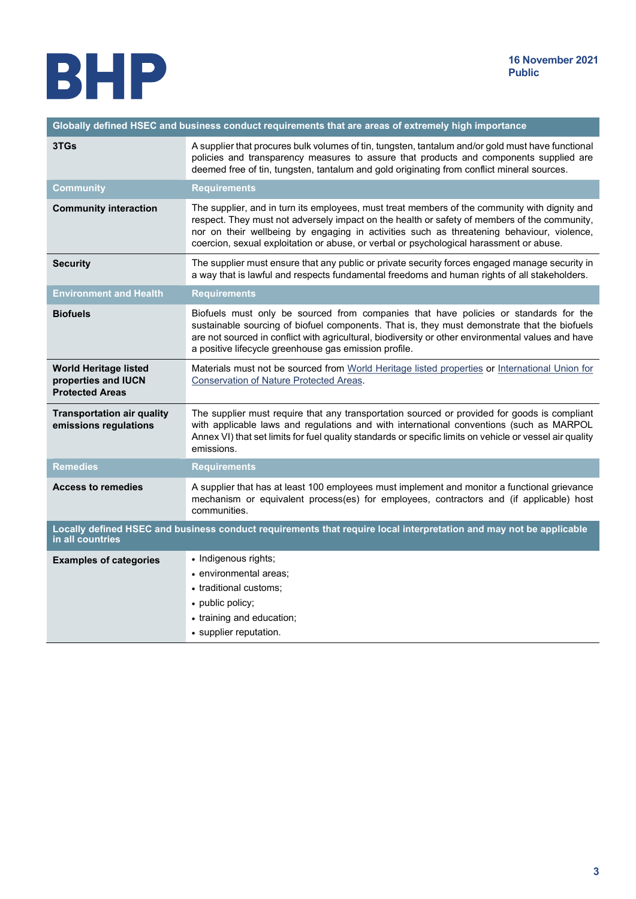

| Globally defined HSEC and business conduct requirements that are areas of extremely high importance                                    |                                                                                                                                                                                                                                                                                                                                                                                       |
|----------------------------------------------------------------------------------------------------------------------------------------|---------------------------------------------------------------------------------------------------------------------------------------------------------------------------------------------------------------------------------------------------------------------------------------------------------------------------------------------------------------------------------------|
| 3TGs                                                                                                                                   | A supplier that procures bulk volumes of tin, tungsten, tantalum and/or gold must have functional<br>policies and transparency measures to assure that products and components supplied are<br>deemed free of tin, tungsten, tantalum and gold originating from conflict mineral sources.                                                                                             |
| Community                                                                                                                              | <b>Requirements</b>                                                                                                                                                                                                                                                                                                                                                                   |
| <b>Community interaction</b>                                                                                                           | The supplier, and in turn its employees, must treat members of the community with dignity and<br>respect. They must not adversely impact on the health or safety of members of the community,<br>nor on their wellbeing by engaging in activities such as threatening behaviour, violence,<br>coercion, sexual exploitation or abuse, or verbal or psychological harassment or abuse. |
| <b>Security</b>                                                                                                                        | The supplier must ensure that any public or private security forces engaged manage security in<br>a way that is lawful and respects fundamental freedoms and human rights of all stakeholders.                                                                                                                                                                                        |
| <b>Environment and Health</b>                                                                                                          | <b>Requirements</b>                                                                                                                                                                                                                                                                                                                                                                   |
| <b>Biofuels</b>                                                                                                                        | Biofuels must only be sourced from companies that have policies or standards for the<br>sustainable sourcing of biofuel components. That is, they must demonstrate that the biofuels<br>are not sourced in conflict with agricultural, biodiversity or other environmental values and have<br>a positive lifecycle greenhouse gas emission profile.                                   |
| <b>World Heritage listed</b><br>properties and IUCN<br><b>Protected Areas</b>                                                          | Materials must not be sourced from World Heritage listed properties or International Union for<br><b>Conservation of Nature Protected Areas.</b>                                                                                                                                                                                                                                      |
| <b>Transportation air quality</b><br>emissions regulations                                                                             | The supplier must require that any transportation sourced or provided for goods is compliant<br>with applicable laws and regulations and with international conventions (such as MARPOL<br>Annex VI) that set limits for fuel quality standards or specific limits on vehicle or vessel air quality<br>emissions.                                                                     |
| <b>Remedies</b>                                                                                                                        | <b>Requirements</b>                                                                                                                                                                                                                                                                                                                                                                   |
| <b>Access to remedies</b>                                                                                                              | A supplier that has at least 100 employees must implement and monitor a functional grievance<br>mechanism or equivalent process(es) for employees, contractors and (if applicable) host<br>communities.                                                                                                                                                                               |
| Locally defined HSEC and business conduct requirements that require local interpretation and may not be applicable<br>in all countries |                                                                                                                                                                                                                                                                                                                                                                                       |
| <b>Examples of categories</b>                                                                                                          | • Indigenous rights;<br>• environmental areas;<br>• traditional customs:<br>• public policy;<br>• training and education;<br>• supplier reputation.                                                                                                                                                                                                                                   |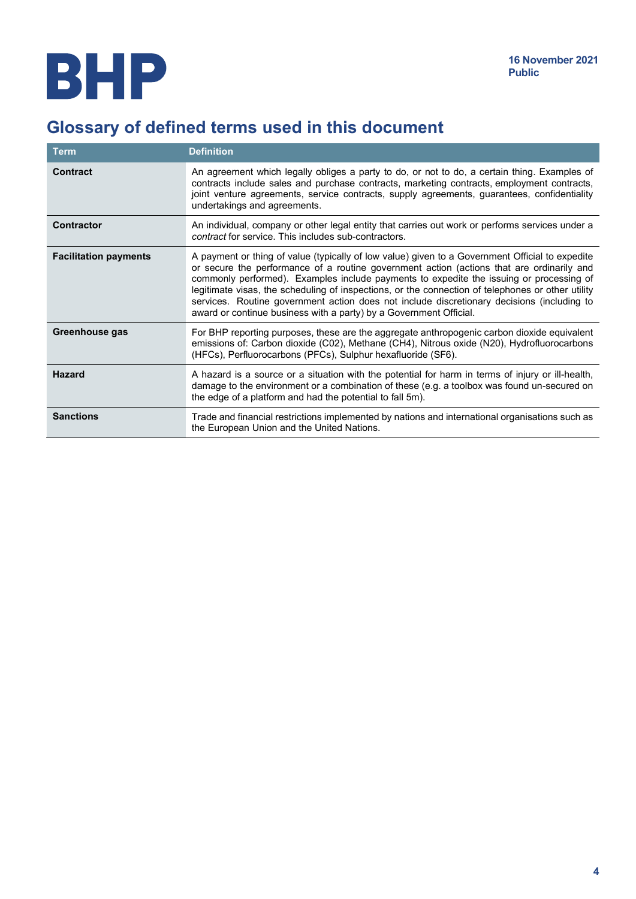## Glossary of defined terms used in this document

| <b>Term</b>                  | <b>Definition</b>                                                                                                                                                                                                                                                                                                                                                                                                                                                                                                                                                |
|------------------------------|------------------------------------------------------------------------------------------------------------------------------------------------------------------------------------------------------------------------------------------------------------------------------------------------------------------------------------------------------------------------------------------------------------------------------------------------------------------------------------------------------------------------------------------------------------------|
| <b>Contract</b>              | An agreement which legally obliges a party to do, or not to do, a certain thing. Examples of<br>contracts include sales and purchase contracts, marketing contracts, employment contracts,<br>joint venture agreements, service contracts, supply agreements, guarantees, confidentiality<br>undertakings and agreements.                                                                                                                                                                                                                                        |
| <b>Contractor</b>            | An individual, company or other legal entity that carries out work or performs services under a<br>contract for service. This includes sub-contractors.                                                                                                                                                                                                                                                                                                                                                                                                          |
| <b>Facilitation payments</b> | A payment or thing of value (typically of low value) given to a Government Official to expedite<br>or secure the performance of a routine government action (actions that are ordinarily and<br>commonly performed). Examples include payments to expedite the issuing or processing of<br>legitimate visas, the scheduling of inspections, or the connection of telephones or other utility<br>services. Routine government action does not include discretionary decisions (including to<br>award or continue business with a party) by a Government Official. |
| Greenhouse gas               | For BHP reporting purposes, these are the aggregate anthropogenic carbon dioxide equivalent<br>emissions of: Carbon dioxide (C02), Methane (CH4), Nitrous oxide (N20), Hydrofluorocarbons<br>(HFCs), Perfluorocarbons (PFCs), Sulphur hexafluoride (SF6).                                                                                                                                                                                                                                                                                                        |
| <b>Hazard</b>                | A hazard is a source or a situation with the potential for harm in terms of injury or ill-health,<br>damage to the environment or a combination of these (e.g. a toolbox was found un-secured on<br>the edge of a platform and had the potential to fall 5m).                                                                                                                                                                                                                                                                                                    |
| <b>Sanctions</b>             | Trade and financial restrictions implemented by nations and international organisations such as<br>the European Union and the United Nations.                                                                                                                                                                                                                                                                                                                                                                                                                    |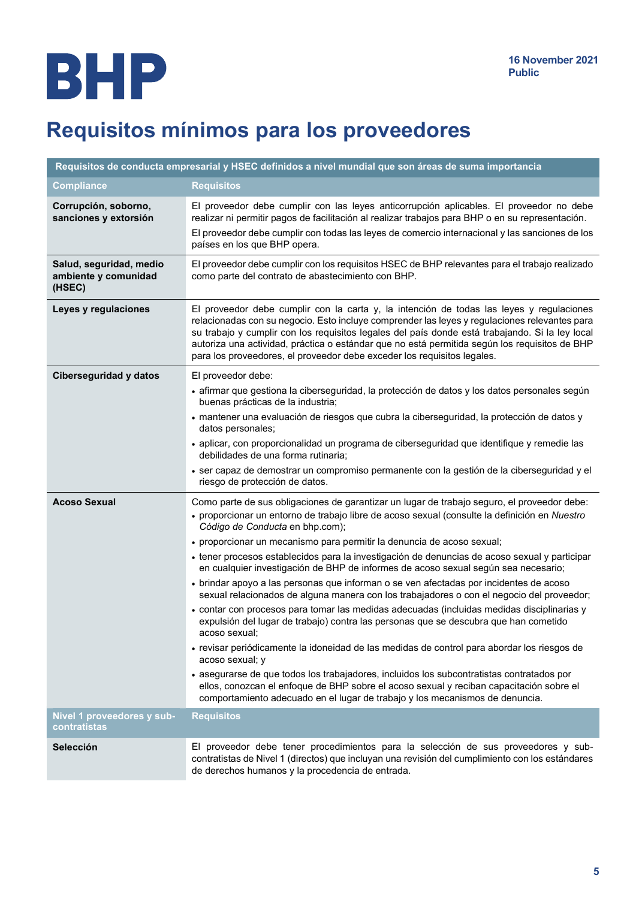## Requisitos mínimos para los proveedores

| Requisitos de conducta empresarial y HSEC definidos a nivel mundial que son áreas de suma importancia |                                                                                                                                                                                                                                                                                                                                                                                                                                                                          |
|-------------------------------------------------------------------------------------------------------|--------------------------------------------------------------------------------------------------------------------------------------------------------------------------------------------------------------------------------------------------------------------------------------------------------------------------------------------------------------------------------------------------------------------------------------------------------------------------|
| <b>Compliance</b>                                                                                     | <b>Requisitos</b>                                                                                                                                                                                                                                                                                                                                                                                                                                                        |
| Corrupción, soborno,<br>sanciones y extorsión                                                         | El proveedor debe cumplir con las leyes anticorrupción aplicables. El proveedor no debe<br>realizar ni permitir pagos de facilitación al realizar trabajos para BHP o en su representación.<br>El proveedor debe cumplir con todas las leyes de comercio internacional y las sanciones de los<br>países en los que BHP opera.                                                                                                                                            |
| Salud, seguridad, medio<br>ambiente y comunidad<br>(HSEC)                                             | El proveedor debe cumplir con los requisitos HSEC de BHP relevantes para el trabajo realizado<br>como parte del contrato de abastecimiento con BHP.                                                                                                                                                                                                                                                                                                                      |
| Leyes y regulaciones                                                                                  | El proveedor debe cumplir con la carta y, la intención de todas las leyes y regulaciones<br>relacionadas con su negocio. Esto incluye comprender las leyes y regulaciones relevantes para<br>su trabajo y cumplir con los requisitos legales del país donde está trabajando. Si la ley local<br>autoriza una actividad, práctica o estándar que no está permitida según los requisitos de BHP<br>para los proveedores, el proveedor debe exceder los requisitos legales. |
| <b>Ciberseguridad y datos</b>                                                                         | El proveedor debe:                                                                                                                                                                                                                                                                                                                                                                                                                                                       |
|                                                                                                       | · afirmar que gestiona la ciberseguridad, la protección de datos y los datos personales según<br>buenas prácticas de la industria;                                                                                                                                                                                                                                                                                                                                       |
|                                                                                                       | · mantener una evaluación de riesgos que cubra la ciberseguridad, la protección de datos y<br>datos personales;                                                                                                                                                                                                                                                                                                                                                          |
|                                                                                                       | · aplicar, con proporcionalidad un programa de ciberseguridad que identifique y remedie las<br>debilidades de una forma rutinaria;                                                                                                                                                                                                                                                                                                                                       |
|                                                                                                       | · ser capaz de demostrar un compromiso permanente con la gestión de la ciberseguridad y el<br>riesgo de protección de datos.                                                                                                                                                                                                                                                                                                                                             |
| <b>Acoso Sexual</b>                                                                                   | Como parte de sus obligaciones de garantizar un lugar de trabajo seguro, el proveedor debe:<br>· proporcionar un entorno de trabajo libre de acoso sexual (consulte la definición en Nuestro<br>Código de Conducta en bhp.com);                                                                                                                                                                                                                                          |
|                                                                                                       | • proporcionar un mecanismo para permitir la denuncia de acoso sexual;                                                                                                                                                                                                                                                                                                                                                                                                   |
|                                                                                                       | · tener procesos establecidos para la investigación de denuncias de acoso sexual y participar<br>en cualquier investigación de BHP de informes de acoso sexual según sea necesario;                                                                                                                                                                                                                                                                                      |
|                                                                                                       | · brindar apoyo a las personas que informan o se ven afectadas por incidentes de acoso<br>sexual relacionados de alguna manera con los trabajadores o con el negocio del proveedor;                                                                                                                                                                                                                                                                                      |
|                                                                                                       | • contar con procesos para tomar las medidas adecuadas (incluidas medidas disciplinarias y<br>expulsión del lugar de trabajo) contra las personas que se descubra que han cometido<br>acoso sexual:                                                                                                                                                                                                                                                                      |
|                                                                                                       | · revisar periódicamente la idoneidad de las medidas de control para abordar los riesgos de<br>acoso sexual; y                                                                                                                                                                                                                                                                                                                                                           |
|                                                                                                       | • asegurarse de que todos los trabajadores, incluidos los subcontratistas contratados por<br>ellos, conozcan el enfoque de BHP sobre el acoso sexual y reciban capacitación sobre el<br>comportamiento adecuado en el lugar de trabajo y los mecanismos de denuncia.                                                                                                                                                                                                     |
| Nivel 1 proveedores y sub-<br>contratistas                                                            | <b>Requisitos</b>                                                                                                                                                                                                                                                                                                                                                                                                                                                        |
| <b>Selección</b>                                                                                      | El proveedor debe tener procedimientos para la selección de sus proveedores y sub-<br>contratistas de Nivel 1 (directos) que incluyan una revisión del cumplimiento con los estándares<br>de derechos humanos y la procedencia de entrada.                                                                                                                                                                                                                               |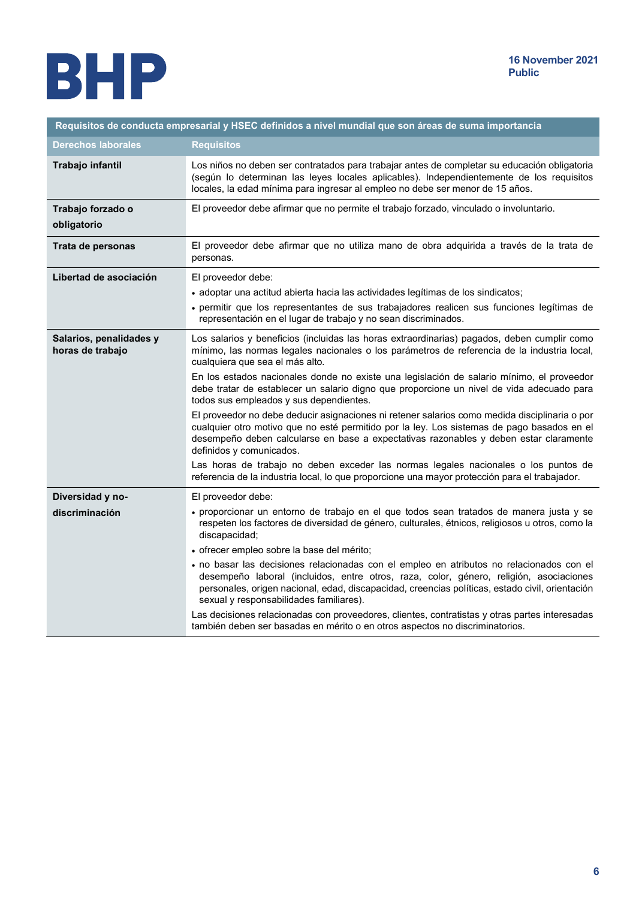

| Requisitos de conducta empresarial y HSEC definidos a nivel mundial que son áreas de suma importancia |                                                                                                                                                                                                                                                                                                                                  |
|-------------------------------------------------------------------------------------------------------|----------------------------------------------------------------------------------------------------------------------------------------------------------------------------------------------------------------------------------------------------------------------------------------------------------------------------------|
| <b>Derechos laborales</b>                                                                             | <b>Requisitos</b>                                                                                                                                                                                                                                                                                                                |
| Trabajo infantil                                                                                      | Los niños no deben ser contratados para trabajar antes de completar su educación obligatoria<br>(según lo determinan las leyes locales aplicables). Independientemente de los requisitos<br>locales, la edad mínima para ingresar al empleo no debe ser menor de 15 años.                                                        |
| Trabajo forzado o<br>obligatorio                                                                      | El proveedor debe afirmar que no permite el trabajo forzado, vinculado o involuntario.                                                                                                                                                                                                                                           |
| Trata de personas                                                                                     | El proveedor debe afirmar que no utiliza mano de obra adquirida a través de la trata de<br>personas.                                                                                                                                                                                                                             |
| Libertad de asociación                                                                                | El proveedor debe:                                                                                                                                                                                                                                                                                                               |
|                                                                                                       | • adoptar una actitud abierta hacia las actividades legítimas de los sindicatos;                                                                                                                                                                                                                                                 |
|                                                                                                       | • permitir que los representantes de sus trabajadores realicen sus funciones legítimas de<br>representación en el lugar de trabajo y no sean discriminados.                                                                                                                                                                      |
| Salarios, penalidades y<br>horas de trabajo                                                           | Los salarios y beneficios (incluidas las horas extraordinarias) pagados, deben cumplir como<br>mínimo, las normas legales nacionales o los parámetros de referencia de la industria local,<br>cualquiera que sea el más alto.                                                                                                    |
|                                                                                                       | En los estados nacionales donde no existe una legislación de salario mínimo, el proveedor<br>debe tratar de establecer un salario digno que proporcione un nivel de vida adecuado para<br>todos sus empleados y sus dependientes.                                                                                                |
|                                                                                                       | El proveedor no debe deducir asignaciones ni retener salarios como medida disciplinaria o por<br>cualquier otro motivo que no esté permitido por la ley. Los sistemas de pago basados en el<br>desempeño deben calcularse en base a expectativas razonables y deben estar claramente<br>definidos y comunicados.                 |
|                                                                                                       | Las horas de trabajo no deben exceder las normas legales nacionales o los puntos de<br>referencia de la industria local, lo que proporcione una mayor protección para el trabajador.                                                                                                                                             |
| Diversidad y no-                                                                                      | El proveedor debe:                                                                                                                                                                                                                                                                                                               |
| discriminación                                                                                        | · proporcionar un entorno de trabajo en el que todos sean tratados de manera justa y se<br>respeten los factores de diversidad de género, culturales, étnicos, religiosos u otros, como la<br>discapacidad;                                                                                                                      |
|                                                                                                       | · ofrecer empleo sobre la base del mérito;                                                                                                                                                                                                                                                                                       |
|                                                                                                       | · no basar las decisiones relacionadas con el empleo en atributos no relacionados con el<br>desempeño laboral (incluidos, entre otros, raza, color, género, religión, asociaciones<br>personales, origen nacional, edad, discapacidad, creencias políticas, estado civil, orientación<br>sexual y responsabilidades familiares). |
|                                                                                                       | Las decisiones relacionadas con proveedores, clientes, contratistas y otras partes interesadas<br>también deben ser basadas en mérito o en otros aspectos no discriminatorios.                                                                                                                                                   |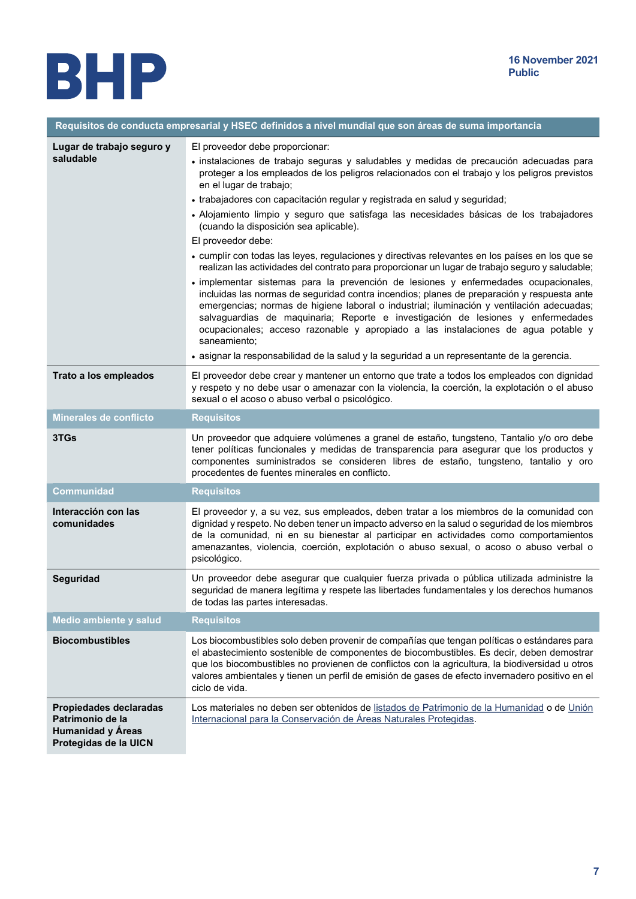

| Requisitos de conducta empresarial y HSEC definidos a nivel mundial que son áreas de suma importancia |                                                                                                                                                                                                                                                                                                                                                                                                                                                                                                                                                                                                                                                                                                                                                                                                                                                                                                                                                                                                                                                                                                                                                                                                                                                                              |
|-------------------------------------------------------------------------------------------------------|------------------------------------------------------------------------------------------------------------------------------------------------------------------------------------------------------------------------------------------------------------------------------------------------------------------------------------------------------------------------------------------------------------------------------------------------------------------------------------------------------------------------------------------------------------------------------------------------------------------------------------------------------------------------------------------------------------------------------------------------------------------------------------------------------------------------------------------------------------------------------------------------------------------------------------------------------------------------------------------------------------------------------------------------------------------------------------------------------------------------------------------------------------------------------------------------------------------------------------------------------------------------------|
| Lugar de trabajo seguro y<br>saludable                                                                | El proveedor debe proporcionar:<br>· instalaciones de trabajo seguras y saludables y medidas de precaución adecuadas para<br>proteger a los empleados de los peligros relacionados con el trabajo y los peligros previstos<br>en el lugar de trabajo;<br>• trabajadores con capacitación regular y registrada en salud y seguridad;<br>· Alojamiento limpio y seguro que satisfaga las necesidades básicas de los trabajadores<br>(cuando la disposición sea aplicable).<br>El proveedor debe:<br>• cumplir con todas las leyes, regulaciones y directivas relevantes en los países en los que se<br>realizan las actividades del contrato para proporcionar un lugar de trabajo seguro y saludable;<br>· implementar sistemas para la prevención de lesiones y enfermedades ocupacionales,<br>incluidas las normas de seguridad contra incendios; planes de preparación y respuesta ante<br>emergencias; normas de higiene laboral o industrial; iluminación y ventilación adecuadas;<br>salvaguardias de maquinaria; Reporte e investigación de lesiones y enfermedades<br>ocupacionales; acceso razonable y apropiado a las instalaciones de agua potable y<br>saneamiento;<br>· asignar la responsabilidad de la salud y la seguridad a un representante de la gerencia. |
| Trato a los empleados                                                                                 | El proveedor debe crear y mantener un entorno que trate a todos los empleados con dignidad<br>y respeto y no debe usar o amenazar con la violencia, la coerción, la explotación o el abuso<br>sexual o el acoso o abuso verbal o psicológico.                                                                                                                                                                                                                                                                                                                                                                                                                                                                                                                                                                                                                                                                                                                                                                                                                                                                                                                                                                                                                                |
| <b>Minerales de conflicto</b>                                                                         | <b>Requisitos</b>                                                                                                                                                                                                                                                                                                                                                                                                                                                                                                                                                                                                                                                                                                                                                                                                                                                                                                                                                                                                                                                                                                                                                                                                                                                            |
| 3TGs                                                                                                  | Un proveedor que adquiere volúmenes a granel de estaño, tungsteno, Tantalio y/o oro debe<br>tener políticas funcionales y medidas de transparencia para asegurar que los productos y<br>componentes suministrados se consideren libres de estaño, tungsteno, tantalio y oro<br>procedentes de fuentes minerales en conflicto.                                                                                                                                                                                                                                                                                                                                                                                                                                                                                                                                                                                                                                                                                                                                                                                                                                                                                                                                                |
| <b>Communidad</b>                                                                                     | <b>Requisitos</b>                                                                                                                                                                                                                                                                                                                                                                                                                                                                                                                                                                                                                                                                                                                                                                                                                                                                                                                                                                                                                                                                                                                                                                                                                                                            |
| Interacción con las<br>comunidades                                                                    | El proveedor y, a su vez, sus empleados, deben tratar a los miembros de la comunidad con<br>dignidad y respeto. No deben tener un impacto adverso en la salud o seguridad de los miembros<br>de la comunidad, ni en su bienestar al participar en actividades como comportamientos<br>amenazantes, violencia, coerción, explotación o abuso sexual, o acoso o abuso verbal o<br>psicológico.                                                                                                                                                                                                                                                                                                                                                                                                                                                                                                                                                                                                                                                                                                                                                                                                                                                                                 |
| Seguridad                                                                                             | Un proveedor debe asegurar que cualquier fuerza privada o pública utilizada administre la<br>seguridad de manera legítima y respete las libertades fundamentales y los derechos humanos<br>de todas las partes interesadas.                                                                                                                                                                                                                                                                                                                                                                                                                                                                                                                                                                                                                                                                                                                                                                                                                                                                                                                                                                                                                                                  |
| Medio ambiente y salud                                                                                | <b>Requisitos</b>                                                                                                                                                                                                                                                                                                                                                                                                                                                                                                                                                                                                                                                                                                                                                                                                                                                                                                                                                                                                                                                                                                                                                                                                                                                            |
| <b>Biocombustibles</b>                                                                                | Los biocombustibles solo deben provenir de compañías que tengan políticas o estándares para<br>el abastecimiento sostenible de componentes de biocombustibles. Es decir, deben demostrar<br>que los biocombustibles no provienen de conflictos con la agricultura, la biodiversidad u otros<br>valores ambientales y tienen un perfil de emisión de gases de efecto invernadero positivo en el<br>ciclo de vida.                                                                                                                                                                                                                                                                                                                                                                                                                                                                                                                                                                                                                                                                                                                                                                                                                                                             |
| Propiedades declaradas<br>Patrimonio de la<br><b>Humanidad y Áreas</b><br>Protegidas de la UICN       | Los materiales no deben ser obtenidos de listados de Patrimonio de la Humanidad o de Unión<br>Internacional para la Conservación de Áreas Naturales Protegidas.                                                                                                                                                                                                                                                                                                                                                                                                                                                                                                                                                                                                                                                                                                                                                                                                                                                                                                                                                                                                                                                                                                              |